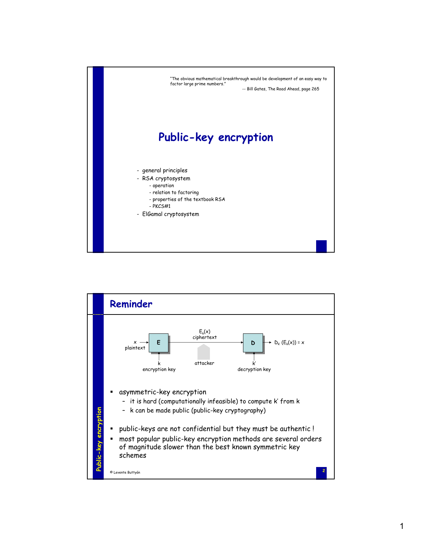

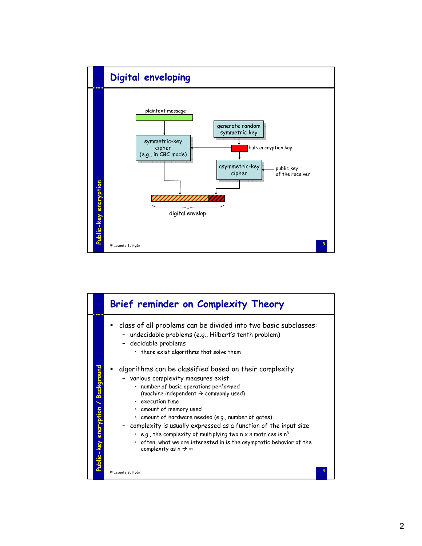

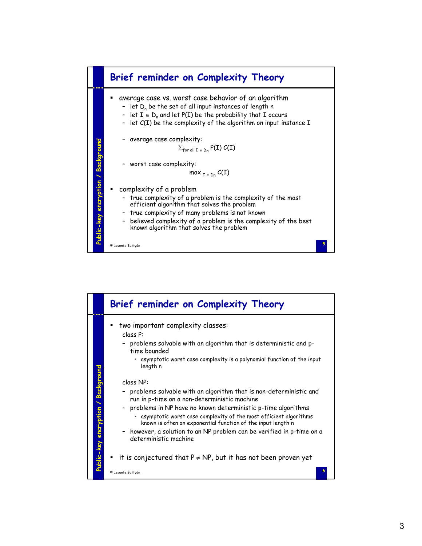

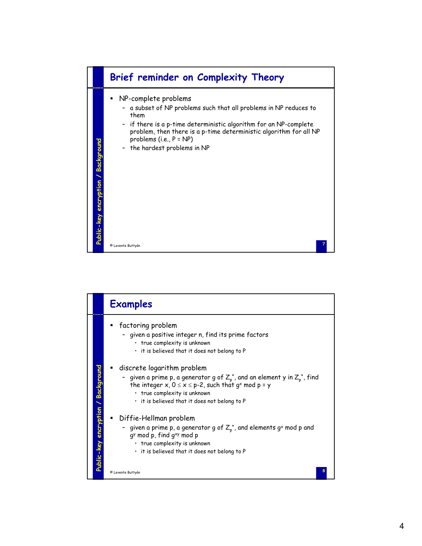

|                                    | <b>Examples</b>                                                                                                                                                                                                                                                                  |
|------------------------------------|----------------------------------------------------------------------------------------------------------------------------------------------------------------------------------------------------------------------------------------------------------------------------------|
|                                    | factoring problem<br>٠<br>- given a positive integer n, find its prime factors<br>• true complexity is unknown<br>. it is believed that it does not belong to P                                                                                                                  |
|                                    | discrete logarithm problem<br>- given a prime p, a generator g of $Z_{p}^{*}$ , and an element y in $Z_{p}^{*}$ , find<br>the integer x, $0 \le x \le p-2$ , such that g <sup>x</sup> mod p = y<br>• true complexity is unknown<br>. it is believed that it does not belong to P |
| Public-key encryption / Background | Diffie-Hellman problem<br>- given a prime p, a generator g of $Z_p^*$ , and elements g <sup>x</sup> mod p and<br>gy mod p, find gxy mod p<br>· true complexity is unknown<br>. it is believed that it does not belong to P                                                       |
|                                    | © Levente Buttyán                                                                                                                                                                                                                                                                |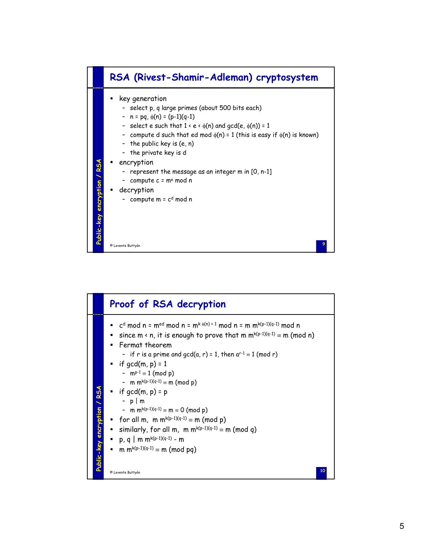

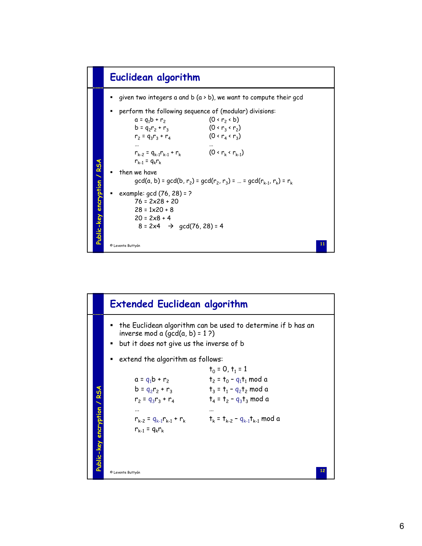

|                             | <b>Extended Euclidean algorithm</b>                                                                                                           |                                                                                                                    |  |
|-----------------------------|-----------------------------------------------------------------------------------------------------------------------------------------------|--------------------------------------------------------------------------------------------------------------------|--|
|                             | the Euclidean algorithm can be used to determine if b has an<br>inverse mod a $(qcd(a, b) = 1.2)$<br>but it does not give us the inverse of b |                                                                                                                    |  |
|                             | extend the algorithm as follows:                                                                                                              |                                                                                                                    |  |
|                             | $a = q_1 b + r_2$<br>$b = q_2r_2 + r_3$<br>$r_2 = q_3r_3 + r_4$                                                                               | $t_0 = 0, t_1 = 1$<br>$t_2 = t_0 - q_1 t_1 \mod a$<br>$t_3 = t_1 - q_2 t_2 \mod a$<br>$t_4 = t_2 - q_3 t_3 \mod a$ |  |
| Public-key encryption / RSA | <br>$r_{k-2} = q_{k-1}r_{k-1} + r_k$<br>$r_{k-1} = q_k r_k$                                                                                   | $t_{k}$ = $t_{k-2}$ – $q_{k-1}t_{k-1}$ mod a                                                                       |  |
|                             | © Levente Buttyán                                                                                                                             | 12                                                                                                                 |  |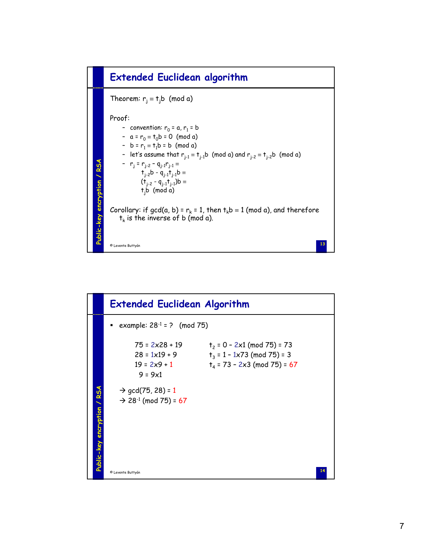

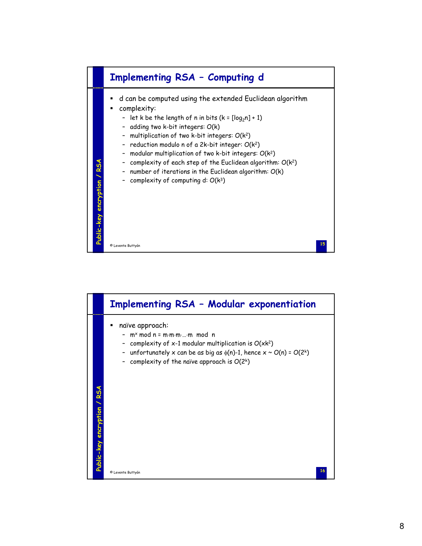

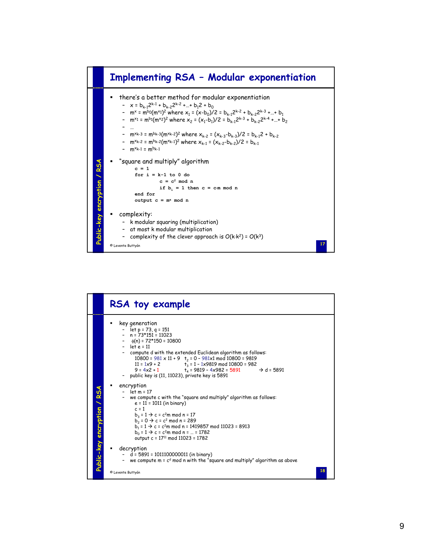

|                             | RSA toy example                                                                                                                                                                                                                                                                                                                                                                                                                                                  |
|-----------------------------|------------------------------------------------------------------------------------------------------------------------------------------------------------------------------------------------------------------------------------------------------------------------------------------------------------------------------------------------------------------------------------------------------------------------------------------------------------------|
|                             | key generation<br>- $let p = 73, q = 151$<br>$- n = 73*151 = 11023$<br>$-$ (n) = 72*150 = 10800<br>$-$ let $e = 11$<br>- compute d with the extended Euclidean algorithm as follows:<br>10800 = $981 \times 11 + 9$ + $_2$ = 0 - $981 \times 1$ mod 10800 = 9819<br>11 = $1 \times 9 + 2$<br>$t_3 = 1 - 1 \times 9819$ mod 10800 = 982<br>$9 = 4x^2 + 1$ $t_a = 9819 - 4x982 = 5891$<br>$\rightarrow$ d = 5891<br>public key is (11, 11023), private key is 5891 |
| Public-key encryption / RSA | encryption<br>$-$ let m = 17<br>- we compute c with the "square and multiply" algorithm as follows:<br>$e = 11 = 1011$ (in binary)<br>$c = 1$<br>$b_3 = 1 \rightarrow c = c^2 m \text{ mod } n = 17$<br>$b_2 = 0 \rightarrow c = c^2 \mod n = 289$<br>$b_1 = 1 \rightarrow c = c^2 m \text{ mod } n = 1419857 \text{ mod } 11023 = 8913$<br>$b_0 = 1 \rightarrow c = c^2 m \text{ mod } n =  = 1782$<br>output c = 17 <sup>11</sup> mod 11023 = 1782             |
|                             | decryption<br>$- d = 5891 = 1011100000011$ (in binary)<br>- we compute $m = cd$ mod n with the "square and multiply" algorithm as above                                                                                                                                                                                                                                                                                                                          |
|                             | 18<br>© Levente Buttyán                                                                                                                                                                                                                                                                                                                                                                                                                                          |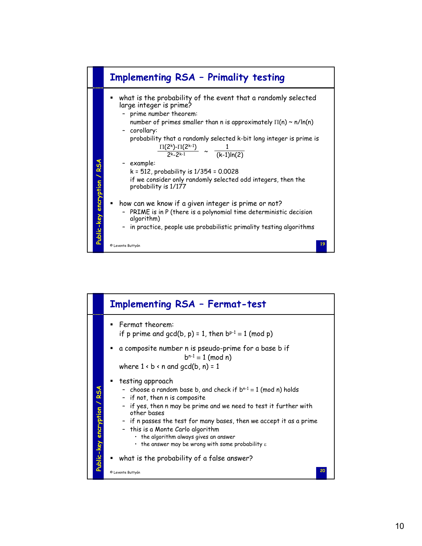

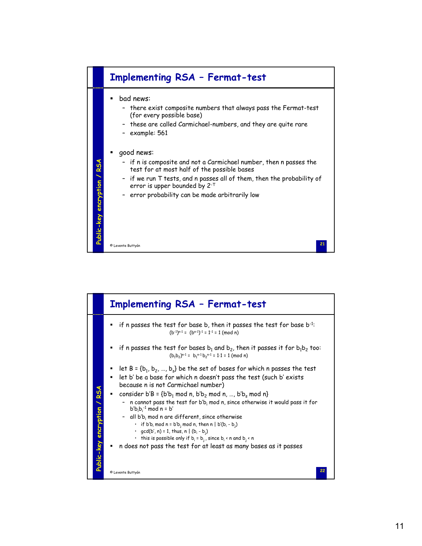

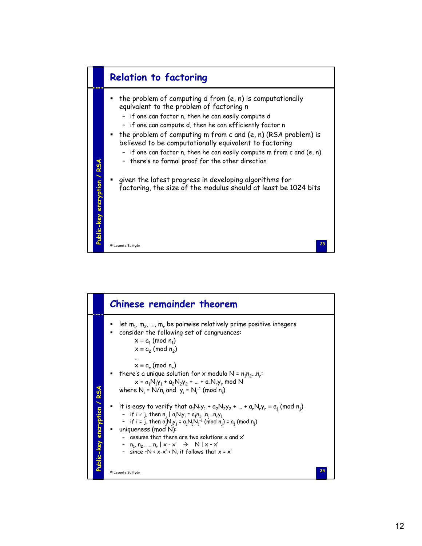

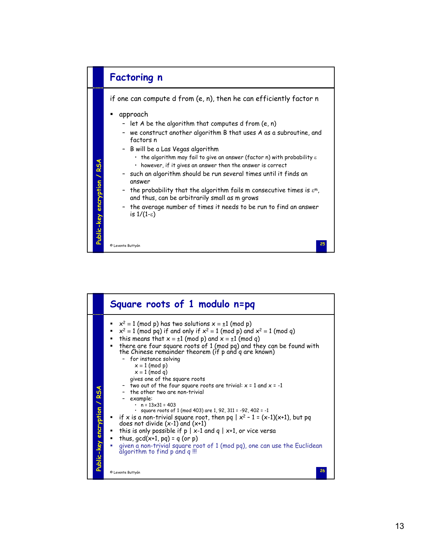

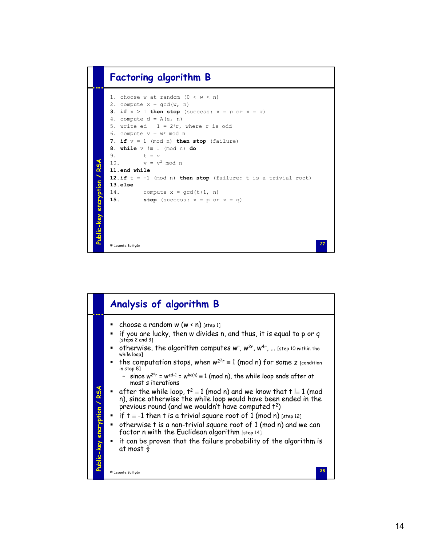## **Factoring algorithm B**

```
1. choose w at random (0 < w < n)2. compute x = \gcd(w, n)3. if x > 1 then stop (success: x = p or x = q)
    4. compute d = A(e, n)5. write ed - 1 = 2<sup>s</sup>r, where r is odd
    6. compute v = w^r \mod n7. if v ≡ 1 (mod n) then stop (failure)
    8. while v !≡ 1 (mod n) do
   9. t = v<br>10. v = v^2Public-key encryption / RSA
              v = v^2 mod n
Public-key encryption / RSA
   11.end while
    12.if t ≡ -1 (mod n) then stop (failure: t is a trivial root)
    13.else
    14. compute x = \text{gcd}(t+1, n)15. stop (success: x = p or x = q)
    27 © Levente Buttyán
```

|                             | Analysis of algorithm B                                                                                                                                                                                                                                                                                                                                                                                                                                                                                                                                                                                                                                                                                                                                                                                                                                                                                                                                                                                                                     |
|-----------------------------|---------------------------------------------------------------------------------------------------------------------------------------------------------------------------------------------------------------------------------------------------------------------------------------------------------------------------------------------------------------------------------------------------------------------------------------------------------------------------------------------------------------------------------------------------------------------------------------------------------------------------------------------------------------------------------------------------------------------------------------------------------------------------------------------------------------------------------------------------------------------------------------------------------------------------------------------------------------------------------------------------------------------------------------------|
| Public-key encryption / RSA | choose a random w $(w \nless n)$ [step 1]<br>if you are lucky, then w divides n, and thus, it is equal to p or q<br>[steps 2 and 3]<br>• otherwise, the algorithm computes $w^r$ , $w^{2r}$ , $w^{4r}$ ,  [step 10 within the<br>while loop]<br>the computation stops, when $w^{2z_r} \equiv 1 \pmod{n}$ for some z [condition<br>in step 8]<br>- since $w^{2^{s}r}$ = $w^{ed-1}$ = $w^{k\phi(n)} \equiv 1 \pmod{n}$ , the while loop ends after at<br>most s iterations<br><b>E</b> after the while loop, $t^2 \equiv 1$ (mod n) and we know that $t \equiv 1$ (mod<br>n), since otherwise the while loop would have been ended in the<br>previous round (and we wouldn't have computed t <sup>2</sup> )<br>• if $t = -1$ then t is a trivial square root of 1 (mod n) [step 12]<br>$\bullet$ otherwise t is a non-trivial square root of 1 (mod n) and we can<br>factor n with the Euclidean algorithm [step 14]<br>it can be proven that the failure probability of the algorithm is<br>at most $\frac{1}{2}$<br>28<br>© Levente Buttyán |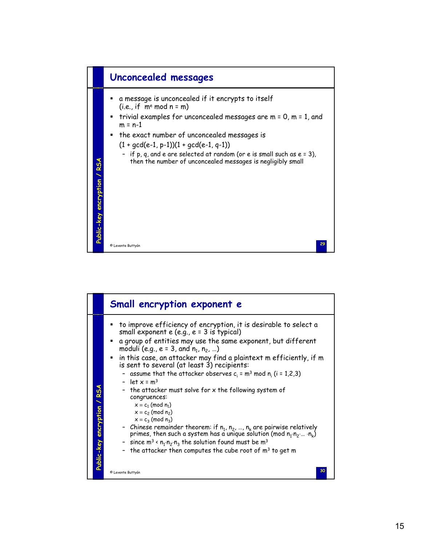

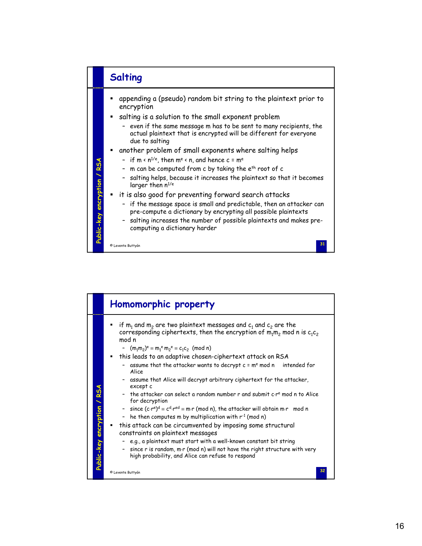

|                             | Homomorphic property                                                                                                                                                                                                                                                                                                                                                                                                                                                                                                                                                                                                                                                                                                                                                                                                                                                                                                                                                                                                                                                                                             |
|-----------------------------|------------------------------------------------------------------------------------------------------------------------------------------------------------------------------------------------------------------------------------------------------------------------------------------------------------------------------------------------------------------------------------------------------------------------------------------------------------------------------------------------------------------------------------------------------------------------------------------------------------------------------------------------------------------------------------------------------------------------------------------------------------------------------------------------------------------------------------------------------------------------------------------------------------------------------------------------------------------------------------------------------------------------------------------------------------------------------------------------------------------|
| Public-key encryption / RSA | if $m_1$ and $m_2$ are two plaintext messages and $c_1$ and $c_2$ are the<br>corresponding ciphertexts, then the encryption of $m_1m_2$ mod n is $c_1c_2$<br>mod n<br>- $(m_1m_2)^e \equiv m_1^e m_2^e \equiv c_1c_2$ (mod n)<br>this leads to an adaptive chosen-ciphertext attack on RSA<br>٠<br>assume that the attacker wants to decrypt $c = me$ mod n<br>intended for<br>Alice<br>assume that Alice will decrypt arbitrary ciphertext for the attacker,<br>except c<br>the attacker can select a random number r and submit c.re mod n to Alice<br>for decryption<br>- since $(c \cdot r^e)^d \equiv c^d \cdot r^{ed} \equiv m \cdot r \pmod{n}$ , the attacker will obtain m $\cdot r \mod n$<br>- he then computes m by multiplication with $r^{-1}$ (mod n)<br>this attack can be circumvented by imposing some structural<br>constraints on plaintext messages<br>- e.g., a plaintext must start with a well-known constant bit string<br>- since r is random, m·r (mod n) will not have the right structure with very<br>high probability, and Alice can refuse to respond<br>32<br>© Levente Buttyán |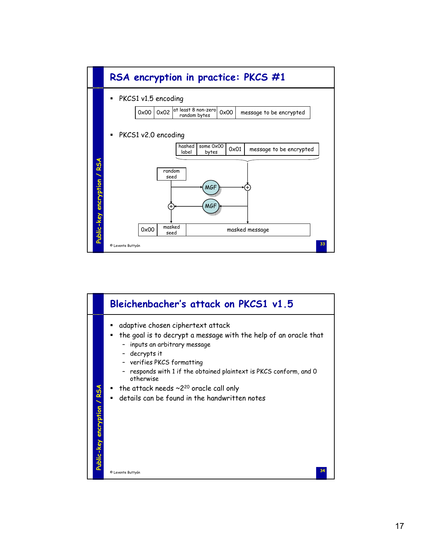

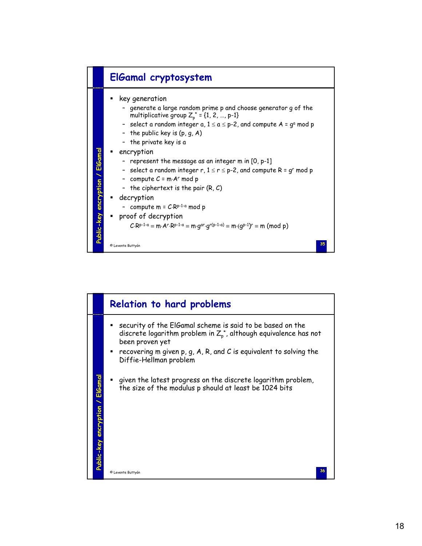